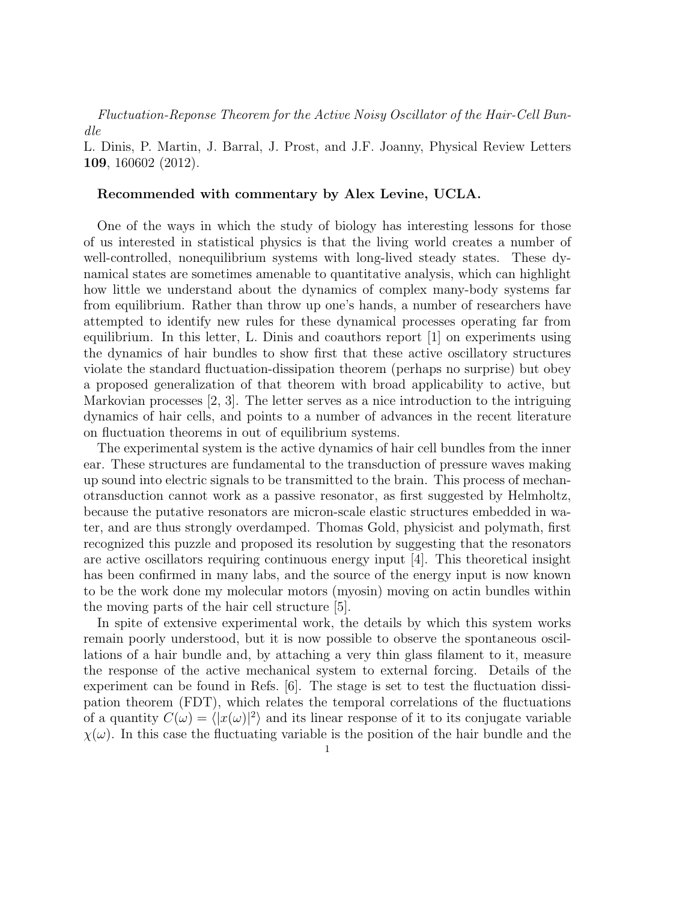Fluctuation-Reponse Theorem for the Active Noisy Oscillator of the Hair-Cell Bundle

L. Dinis, P. Martin, J. Barral, J. Prost, and J.F. Joanny, Physical Review Letters 109, 160602 (2012).

## Recommended with commentary by Alex Levine, UCLA.

One of the ways in which the study of biology has interesting lessons for those of us interested in statistical physics is that the living world creates a number of well-controlled, nonequilibrium systems with long-lived steady states. These dynamical states are sometimes amenable to quantitative analysis, which can highlight how little we understand about the dynamics of complex many-body systems far from equilibrium. Rather than throw up one's hands, a number of researchers have attempted to identify new rules for these dynamical processes operating far from equilibrium. In this letter, L. Dinis and coauthors report [1] on experiments using the dynamics of hair bundles to show first that these active oscillatory structures violate the standard fluctuation-dissipation theorem (perhaps no surprise) but obey a proposed generalization of that theorem with broad applicability to active, but Markovian processes [2, 3]. The letter serves as a nice introduction to the intriguing dynamics of hair cells, and points to a number of advances in the recent literature on fluctuation theorems in out of equilibrium systems.

The experimental system is the active dynamics of hair cell bundles from the inner ear. These structures are fundamental to the transduction of pressure waves making up sound into electric signals to be transmitted to the brain. This process of mechanotransduction cannot work as a passive resonator, as first suggested by Helmholtz, because the putative resonators are micron-scale elastic structures embedded in water, and are thus strongly overdamped. Thomas Gold, physicist and polymath, first recognized this puzzle and proposed its resolution by suggesting that the resonators are active oscillators requiring continuous energy input [4]. This theoretical insight has been confirmed in many labs, and the source of the energy input is now known to be the work done my molecular motors (myosin) moving on actin bundles within the moving parts of the hair cell structure [5].

In spite of extensive experimental work, the details by which this system works remain poorly understood, but it is now possible to observe the spontaneous oscillations of a hair bundle and, by attaching a very thin glass filament to it, measure the response of the active mechanical system to external forcing. Details of the experiment can be found in Refs. [6]. The stage is set to test the fluctuation dissipation theorem (FDT), which relates the temporal correlations of the fluctuations of a quantity  $C(\omega) = \langle |x(\omega)|^2 \rangle$  and its linear response of it to its conjugate variable  $\chi(\omega)$ . In this case the fluctuating variable is the position of the hair bundle and the